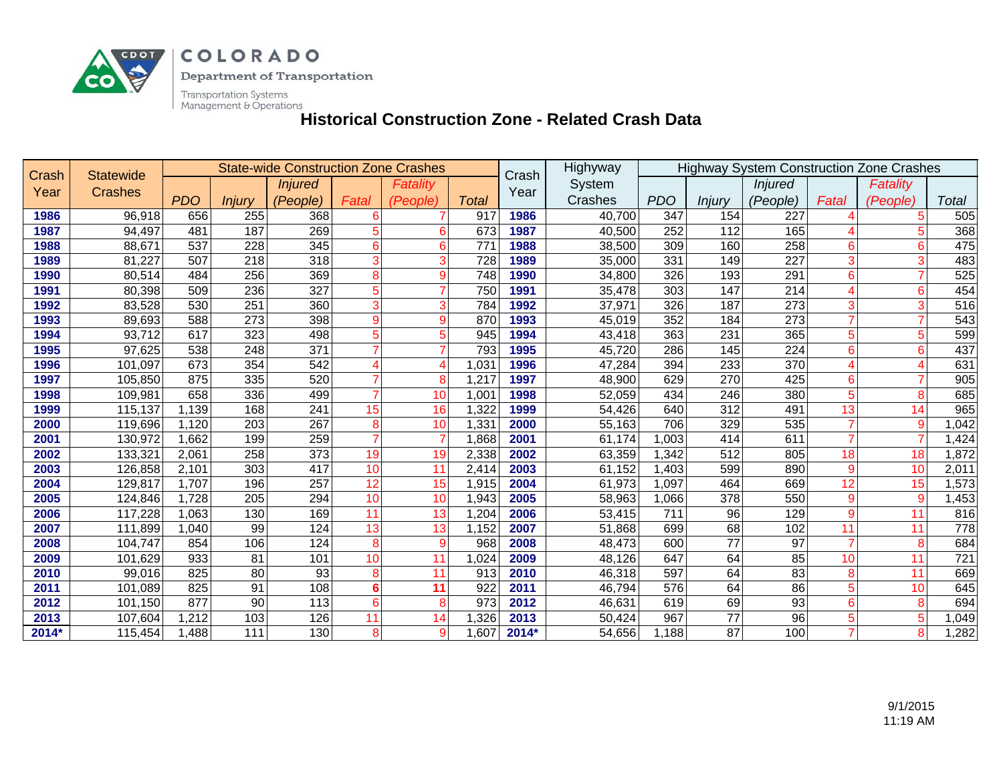

COLORADO

**Department of Transportation** 

## **Historical Construction Zone - Related Crash Data**

| Crash | <b>Statewide</b> | <b>State-wide Construction Zone Crashes</b> |               |                |       |          |              | Crash   | Highyway | <b>Highway System Construction Zone Crashes</b> |                 |                |       |                 |       |
|-------|------------------|---------------------------------------------|---------------|----------------|-------|----------|--------------|---------|----------|-------------------------------------------------|-----------------|----------------|-------|-----------------|-------|
|       |                  |                                             |               | <i>Injured</i> |       | Fatality |              |         | System   |                                                 |                 | <b>Injured</b> |       | Fatality        |       |
| Year  | <b>Crashes</b>   | <b>PDO</b>                                  | <b>Injury</b> | (People)       | Fatal | (People) | <b>Total</b> | Year    | Crashes  | <b>PDO</b>                                      | <b>Injury</b>   | (People)       | Fatal | (People)        | Total |
| 1986  | 96,918           | 656                                         | 255           | 368            | 6     |          | 917          | 1986    | 40,700   | 347                                             | 154             | 227            |       | 5.              | 505   |
| 1987  | 94,497           | 481                                         | 187           | 269            | 5     |          | 673          | 1987    | 40,500   | 252                                             | 112             | 165            |       | 5.              | 368   |
| 1988  | 88,671           | 537                                         | 228           | 345            | 6     |          | 771          | 1988    | 38,500   | 309                                             | 160             | 258            |       | 6               | 475   |
| 1989  | 81,227           | 507                                         | 218           | 318            | 3     |          | 728          | 1989    | 35,000   | 331                                             | 149             | 227            |       |                 | 483   |
| 1990  | 80,514           | 484                                         | 256           | 369            | 8     |          | 748          | 1990    | 34,800   | 326                                             | 193             | 291            |       | $\overline{7}$  | 525   |
| 1991  | 80,398           | 509                                         | 236           | 327            | 5     |          | 750          | 1991    | 35,478   | 303                                             | 147             | 214            |       | 6               | 454   |
| 1992  | 83,528           | 530                                         | 251           | 360            | 3     |          | 784          | 1992    | 37,971   | 326                                             | 187             | 273            |       | 3               | 516   |
| 1993  | 89,693           | 588                                         | 273           | 398            | 9     |          | 870          | 1993    | 45,019   | 352                                             | 184             | 273            |       |                 | 543   |
| 1994  | 93,712           | 617                                         | 323           | 498            | 5     |          | 945          | 1994    | 43,418   | 363                                             | 231             | 365            |       | 5               | 599   |
| 1995  | 97,625           | 538                                         | 248           | 371            |       |          | 793          | 1995    | 45,720   | 286                                             | 145             | 224            |       | 6               | 437   |
| 1996  | 101,097          | 673                                         | 354           | 542            |       |          | 1,031        | 1996    | 47,284   | 394                                             | 233             | 370            |       |                 | 631   |
| 1997  | 105,850          | 875                                         | 335           | 520            |       |          | 1,217        | 1997    | 48,900   | 629                                             | 270             | 425            |       |                 | 905   |
| 1998  | 109,981          | 658                                         | 336           | 499            |       | 10       | 1,001        | 1998    | 52,059   | 434                                             | 246             | 380            |       | 8               | 685   |
| 1999  | 115,137          | 1,139                                       | 168           | 241            | 15    | 16       | 1,322        | 1999    | 54,426   | 640                                             | 312             | 491            | 13    | 14              | 965   |
| 2000  | 119,696          | 1,120                                       | 203           | 267            | 8     | 10       | 1,331        | 2000    | 55,163   | 706                                             | 329             | 535            |       | 9               | 1,042 |
| 2001  | 130,972          | 1,662                                       | 199           | 259            |       |          | 1,868        | 2001    | 61,174   | 1,003                                           | 414             | 611            |       | $\overline{7}$  | 1,424 |
| 2002  | 133,321          | 2,061                                       | 258           | 373            | 19    | 19       | 2,338        | 2002    | 63,359   | 1,342                                           | 512             | 805            | 18    | 18              | 1,872 |
| 2003  | 126,858          | 2,101                                       | 303           | 417            | 10    | 11       | 2,414        | 2003    | 61,152   | 1,403                                           | 599             | 890            | 9     | 10              | 2,011 |
| 2004  | 129,817          | 1,707                                       | 196           | 257            | 12    | 15       | 1,915        | 2004    | 61,973   | 1,097                                           | 464             | 669            | 12    | 15              | 1,573 |
| 2005  | 124,846          | 1,728                                       | 205           | 294            | 10    | 10       | 1,943        | 2005    | 58,963   | 1,066                                           | 378             | 550            | 9     | 9               | 1,453 |
| 2006  | 117,228          | 1,063                                       | 130           | 169            | 11    | 13       | 1,204        | 2006    | 53,415   | 711                                             | 96              | 129            | 9     | 11              | 816   |
| 2007  | 111,899          | 1,040                                       | 99            | 124            | 13    | 13       | 1,152        | 2007    | 51,868   | 699                                             | 68              | 102            | 11    | 11              | 778   |
| 2008  | 104,747          | 854                                         | 106           | 124            | 8     | $\Omega$ | 968          | 2008    | 48,473   | 600                                             | 77              | 97             |       | 8               | 684   |
| 2009  | 101,629          | 933                                         | 81            | 101            | 10    | 11       | 1,024        | 2009    | 48,126   | 647                                             | 64              | 85             | 10    | 11              | 721   |
| 2010  | 99,016           | 825                                         | 80            | 93             | 8     | 11       | 913          | 2010    | 46,318   | 597                                             | 64              | 83             |       | 11              | 669   |
| 2011  | 101,089          | 825                                         | 91            | 108            | 6     | 11       | 922          | 2011    | 46,794   | 576                                             | 64              | 86             |       | 10 <sup>1</sup> | 645   |
| 2012  | 101,150          | 877                                         | 90            | 113            | 6     |          | 973          | 2012    | 46,631   | 619                                             | 69              | 93             | 6     | 8               | 694   |
| 2013  | 107,604          | 1,212                                       | 103           | 126            | 11    | 14       | ,326         | 2013    | 50,424   | 967                                             | $\overline{77}$ | 96             |       | 5               | 1,049 |
| 2014* | 115,454          | 1,488                                       | 111           | 130            | 8     | 9        | 1,607        | $2014*$ | 54,656   | 1.188                                           | 87              | 100            |       | 8               | 1,282 |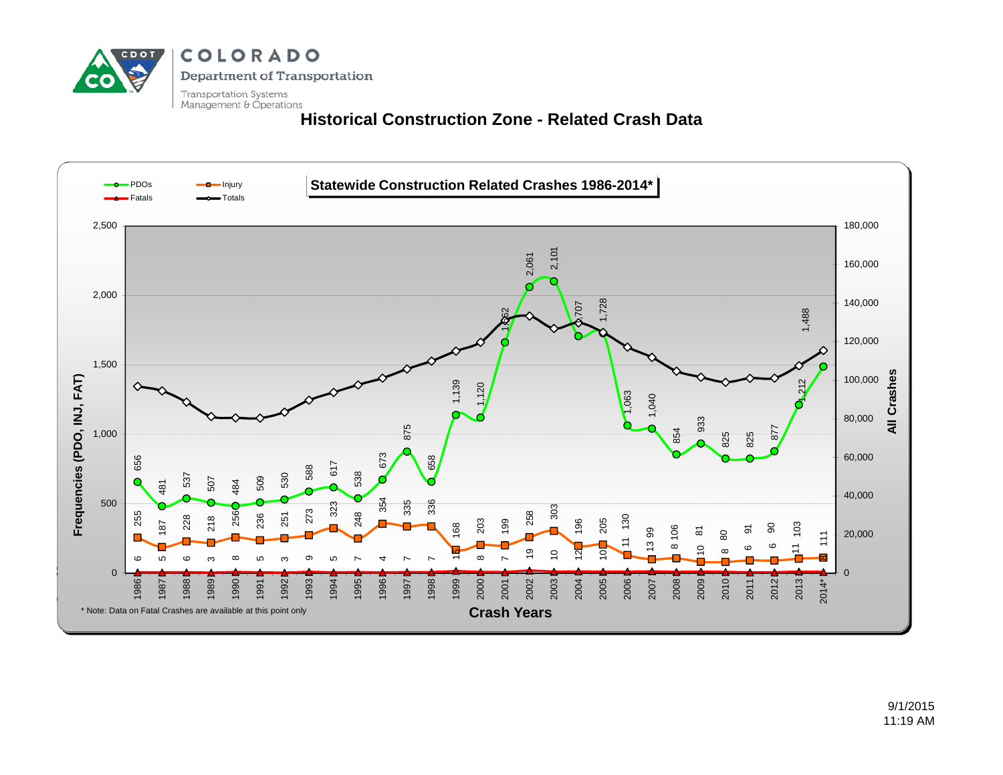

**COLORADO** 

Department of Transportation

**Transportation Systems** Management & Operations

## **Historical Construction Zone - Related Crash Data**